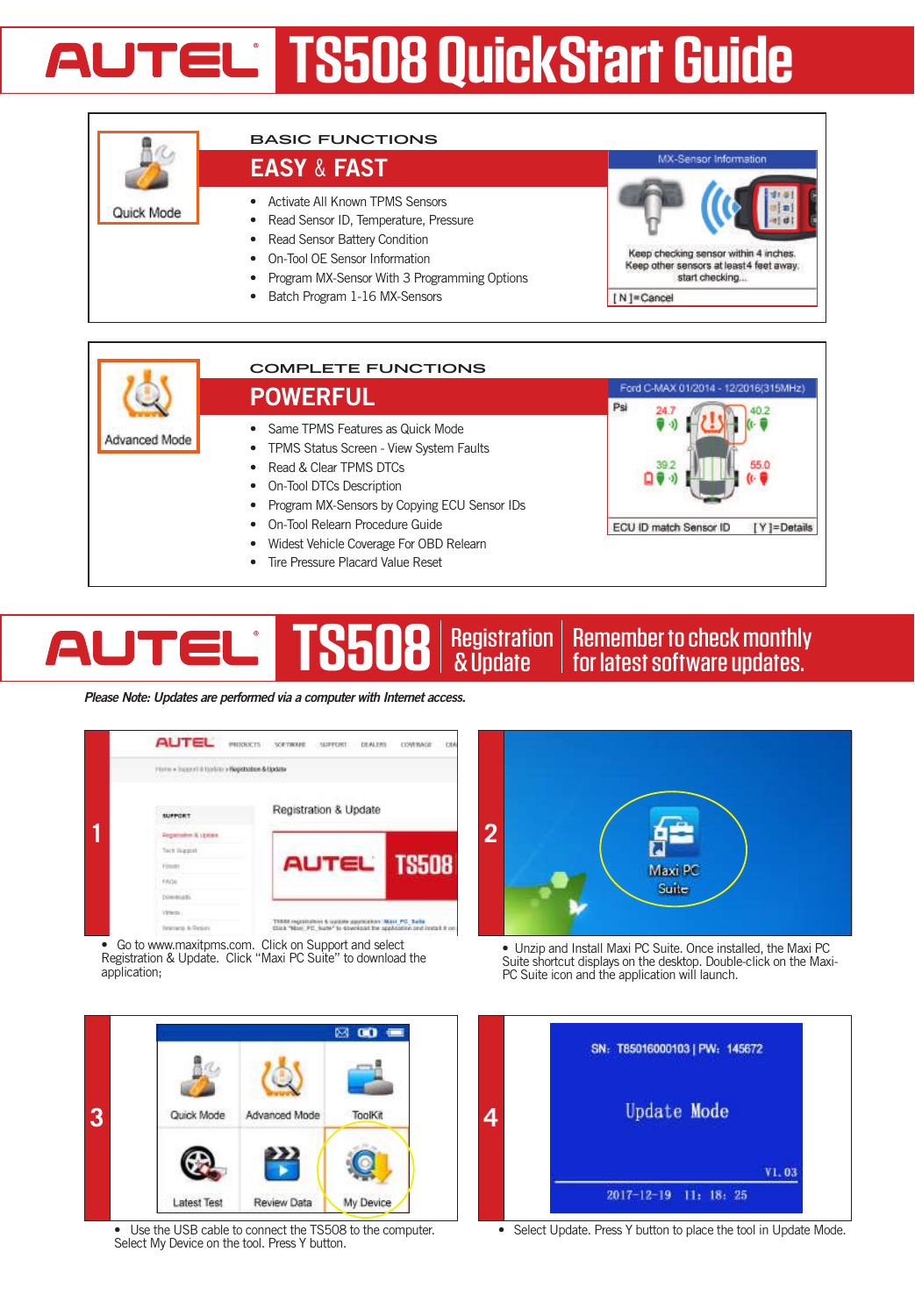# **AUTEL IS508 QuickStart Guide**





### TS508 | Registration | Remember to check monthly<br>for latest software updates. Registration **AUTEL** AUTORISCHE INTELLIGENCE

*Please Note: Updates are performed via a computer with Internet access.*



• Go to www.maxitpms.com. Click on Support and select Registration & Update. Click "Maxi PC Suite" to download the application:



Use the USB cable to connect the TS508 to the computer. Select My Device on the tool. Press Y button.



• Unzip and Install Maxi PC Suite. Once installed, the Maxi PC Suite shortcut displays on the desktop. Double-click on the Maxi- PC Suite icon and the application will launch.



• Select Update. Press Y button to place the tool in Update Mode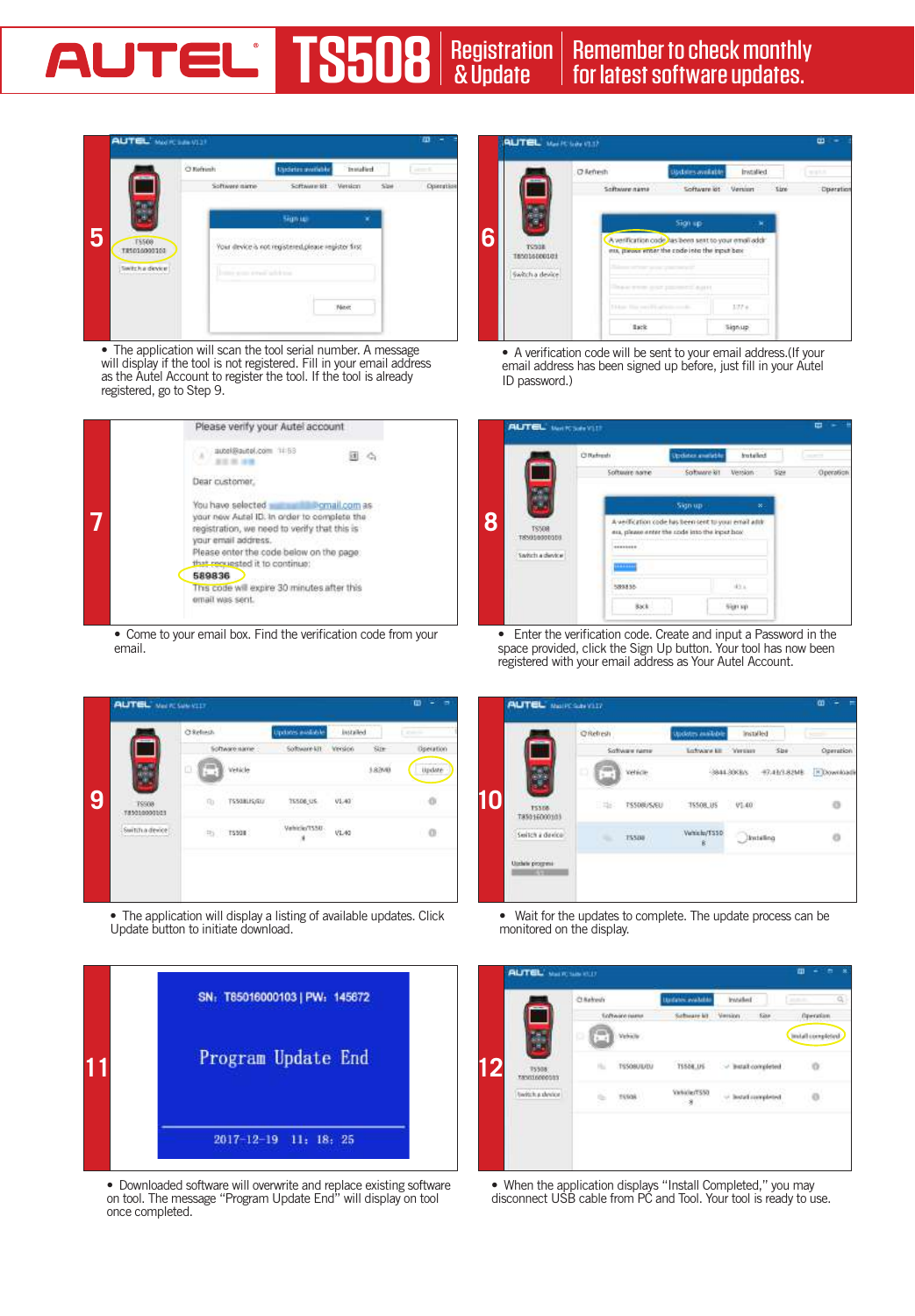# AUTOMOTIVE INTELLIGENCE Registration TS508 | Registration | Remember to check monthly<br>for latest software updates.



• The application will scan the tool serial number. A message will display if the tool is not registered. Fill in your email address as the Autel Account to register the tool. If the tool is already registered, go to Step 9.



• Come to your email box. Find the verification code from your email.



• The application will display a listing of available updates. Click Update button to initiate download.



• Downloaded software will overwrite and replace existing software on tool. The message "Program Update End" will display on tool once completed.



• A verification code will be sent to your email address.(If your email address has been signed up before, just fill in your Autel ID password.)

|   | <b>Citatenda</b>              |               | Updates analyble                                                                                        | kuteked |      | $-1000$   |
|---|-------------------------------|---------------|---------------------------------------------------------------------------------------------------------|---------|------|-----------|
|   |                               | Software nome | Software kit                                                                                            | Vension | Size | Operation |
|   |                               |               | <b>Sign up</b>                                                                                          | œ.      |      |           |
| 8 | <b>TS508</b><br>T85010000008T |               | A verification code has been sent to your email addr.<br>era, please enter the rade into the inpet host |         |      |           |
|   | Switch a dievice              | mm            |                                                                                                         |         |      |           |
|   |                               | sexes.        |                                                                                                         | 45.4    |      |           |
|   |                               | 85.8          |                                                                                                         | Gerian  |      |           |

• Enter the verification code. Create and input a Password in the space provided, click the Sign Up button. Your tool has now been registered with your email address as Your Autel Account.

|    | <b>AUTEL</b> MAIRCRAYOU?                       |                  |                   |                    |               |                        | œ                 |
|----|------------------------------------------------|------------------|-------------------|--------------------|---------------|------------------------|-------------------|
|    |                                                | <b>C</b> Refresh |                   | Undern maker       | Installed     |                        |                   |
|    |                                                |                  | Software name     | Loftware Litt      | <b>Yersen</b> | $S_{DB}$               | Operation         |
|    |                                                | ø                | Webca             |                    |               | 844-3000x 47-42-3-8248 | <b>EX Downloa</b> |
| 10 | 15308<br>185016000103                          | 日報に              | <b>TS508US/EU</b> | 75508, US          | V1.40         |                        |                   |
|    | Switch a device                                | ۰                | 755288            | Write by ESSO<br>Ř |               | Inisting               |                   |
|    | <b>CONTRACTOR</b><br>Undele progress<br>mitras |                  |                   |                    |               |                        |                   |
|    |                                                |                  |                   |                    |               |                        |                   |

• Wait for the updates to complete. The update process can be monitored on the display.

|    |                       | Chehedi |                                        | <b>Undates available</b> | Intellect :        |                     | 1.1.1             | $Q_{\rm c}$ |
|----|-----------------------|---------|----------------------------------------|--------------------------|--------------------|---------------------|-------------------|-------------|
|    |                       |         | <b>Software name</b>                   | Sabinary kit Viersion    |                    | 600                 | Operation         |             |
|    |                       | ь       | Vehicle.                               |                          |                    |                     | Install completed |             |
| 12 | 75508<br>TANGUAGEOSIS |         | <b>CONTRACTOR</b><br><b>TSSOBULUOJ</b> | 75504.05                 | - Butait completed |                     | o                 |             |
|    | twitch a device       |         | materi<br>FESOR.                       | Validad (SS)<br>$-8$     |                    | - Install completed | o                 |             |
|    |                       |         |                                        |                          |                    |                     |                   |             |
|    |                       |         |                                        |                          |                    |                     |                   |             |

• When the application displays "Install Completed," you may disconnect USB cable from PC and Tool. Your tool is ready to use.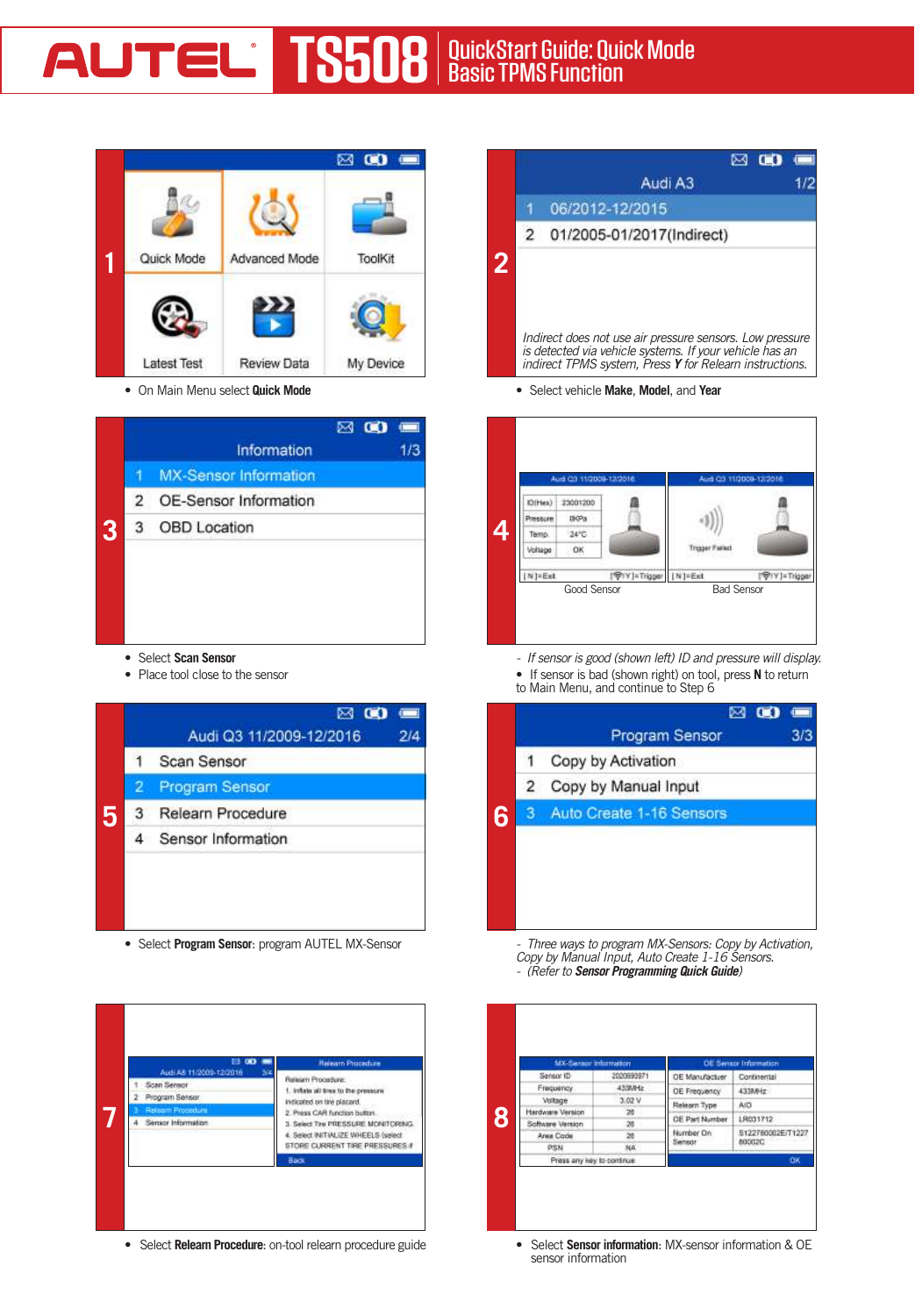

• On Main Menu select **Quick Mode**

|   |                | Information                  | 1/3 |
|---|----------------|------------------------------|-----|
|   |                | <b>MX-Sensor Information</b> |     |
|   | $\overline{2}$ | OE-Sensor Information        |     |
| 3 | 3              | <b>OBD</b> Location          |     |
|   |                |                              |     |
|   |                |                              |     |
|   |                |                              |     |
|   |                |                              |     |
|   |                |                              |     |

- • Select **Scan Sensor**
- • Place tool close to the sensor



• Select **Program Sensor**: program AUTEL MX-Sensor

| <b>EL 00</b><br>Q.<br>Audi AB 11/2009-12/2018 | <b>Relearn Procedure</b>                                                                                     |
|-----------------------------------------------|--------------------------------------------------------------------------------------------------------------|
| <b>Scan Sensor</b>                            | Releam Procedure                                                                                             |
| Program Sensor                                | 1. Inflato all tires to the pressure<br>indicated on tire placard.                                           |
| Releam Procedum                               | 2. Press CAR function butter.                                                                                |
| Sensor Information                            | 3. Select Tre PRESSURE MONITORING.<br>4. Select INITIALIZE WHEELS (select<br>STORE CURRENT TIRE PRESSURES II |
|                                               | Back                                                                                                         |

• Select **Relearn Procedure**: on-tool relearn procedure guide

|                |                                                                                                                                                                                | ⊠ 00 |  |
|----------------|--------------------------------------------------------------------------------------------------------------------------------------------------------------------------------|------|--|
|                | Audi A3                                                                                                                                                                        |      |  |
|                | 06/2012-12/2015                                                                                                                                                                |      |  |
|                | 2 01/2005-01/2017(Indirect)                                                                                                                                                    |      |  |
| $\overline{2}$ | Indirect does not use air pressure sensors. Low pressure<br>is detected via vehicle systems. If your vehicle has an<br>indirect TPMS system. Press Y for Relearn instructions. |      |  |

• Select vehicle **Make**, **Model**, and **Year**



- *If sensor is good (shown left) ID and pressure will display.*
- • If sensor is bad (shown right) on tool, press **N** to return
- to Main Menu, and continue to Step 6

|   |                | $\infty$<br>⊠            | $\blacksquare$<br>3/3 |
|---|----------------|--------------------------|-----------------------|
|   |                | <b>Program Sensor</b>    |                       |
|   | 1              | Copy by Activation       |                       |
|   | $\overline{2}$ | Copy by Manual Input     |                       |
| 6 | з              | Auto Create 1-16 Sensors |                       |
|   |                |                          |                       |
|   |                |                          |                       |
|   |                |                          |                       |
|   |                |                          |                       |
|   |                |                          |                       |

*- Three ways to program MX-Sensors: Copy by Activation, Copy by Manual Input, Auto Create 1-16 Sensors. - (Refer to Sensor Programming Quick Guide)*

| MX-Senate Information      |                 |                       | <b>OE Sensor Information</b> |  |
|----------------------------|-----------------|-----------------------|------------------------------|--|
| Sensor ID                  | 2020690971      | OE Manufactuer        | Continental                  |  |
| Frequency.                 | 433MHz          | OE Frequency          | 433MHz                       |  |
| Voltage                    | 3.02 V          | Relearn Type          | AID                          |  |
| <b>Hardware Version</b>    | $20 -$          | <b>OE Part Number</b> | LR031712                     |  |
| Software Version           | 26              |                       |                              |  |
| Area Code                  | 20              | Number On<br>Sensor   | S122780002E/T1227<br>800020  |  |
| PSN                        | NA <sup>-</sup> |                       |                              |  |
| Press any key to continue. |                 | OK.                   |                              |  |

• Select **Sensor information**: MX-sensor information & OE sensor information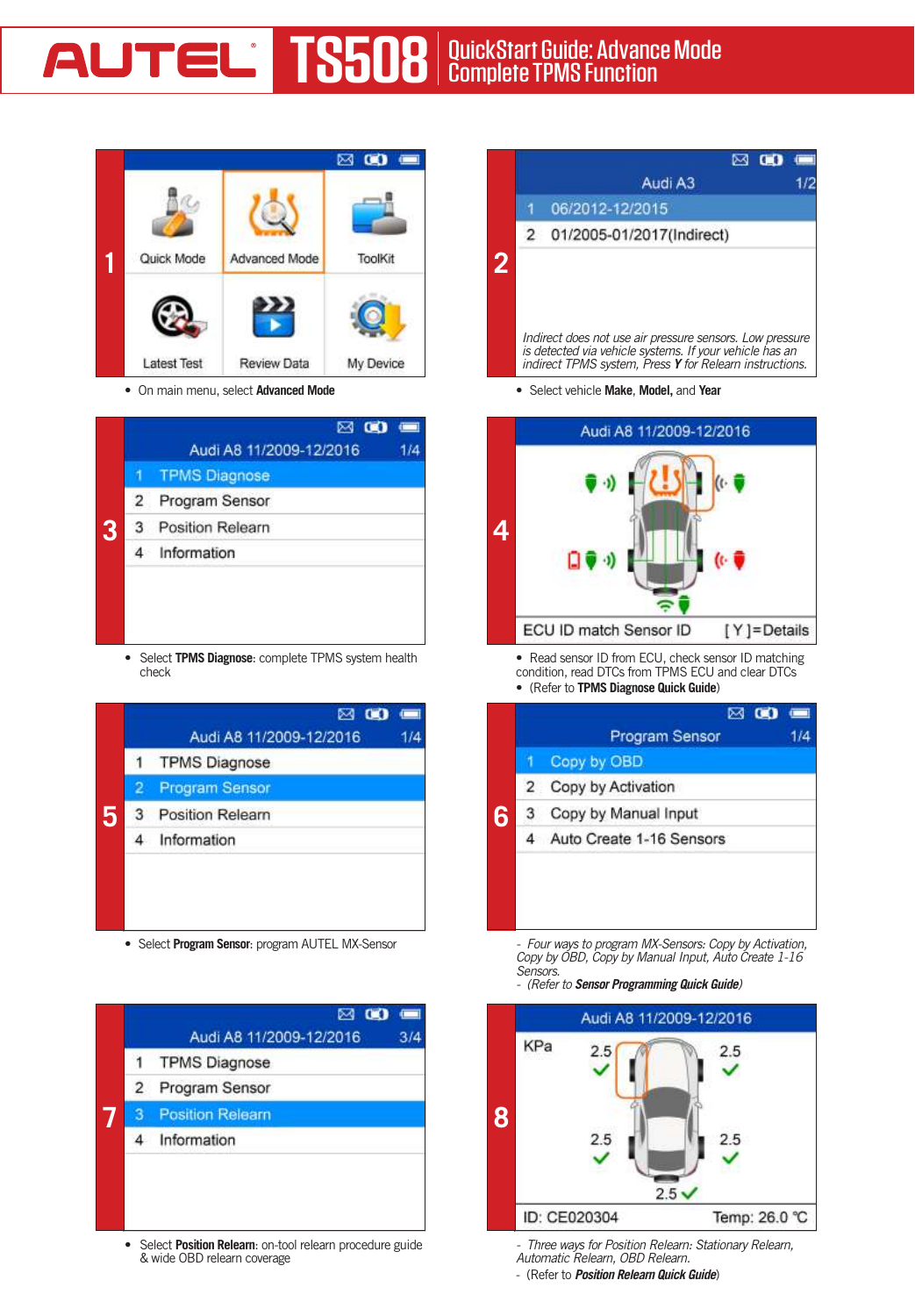

• On main menu, select **Advanced Mode**

|   |                | Audi A8 11/2009-12/2016 |  |
|---|----------------|-------------------------|--|
|   |                | <b>TPMS Diagnose</b>    |  |
|   | $\overline{2}$ | Program Sensor          |  |
| 3 |                | 3 Position Relearn      |  |
|   | 4              | Information             |  |
|   |                |                         |  |
|   |                |                         |  |
|   |                |                         |  |

• Select **TPMS Diagnose**: complete TPMS system health check

|   |   | $\otimes$ $\infty$<br>$\blacksquare$<br>Audi A8 11/2009-12/2016<br>1/4 |
|---|---|------------------------------------------------------------------------|
|   | 1 | <b>TPMS Diagnose</b>                                                   |
|   | 2 | <b>Program Sensor</b>                                                  |
| 5 | 3 | <b>Position Relearn</b>                                                |
|   | 4 | Information                                                            |
|   |   |                                                                        |

• Select **Program Sensor**: program AUTEL MX-Sensor



• Select **Position Relearn**: on-tool relearn procedure guide & wide OBD relearn coverage

|                | $\boxtimes$ 00                                                                                                                                                                 |  |
|----------------|--------------------------------------------------------------------------------------------------------------------------------------------------------------------------------|--|
|                | Audi A3                                                                                                                                                                        |  |
|                | 06/2012-12/2015                                                                                                                                                                |  |
| $\overline{2}$ | 01/2005-01/2017(Indirect)                                                                                                                                                      |  |
|                | Indirect does not use air pressure sensors. Low pressure<br>is detected via vehicle systems. If your vehicle has an<br>indirect TPMS system, Press Y for Relearn instructions. |  |

• Select vehicle **Make**, **Model,** and **Year**



• Read sensor ID from ECU, check sensor ID matching condition, read DTCs from TPMS ECU and clear DTCs • (Refer to **TPMS Diagnose Quick Guide**)

|   |                | ⊠ © 9 ⊞                  |     |
|---|----------------|--------------------------|-----|
|   |                | <b>Program Sensor</b>    | 1/4 |
|   |                | Copy by OBD              |     |
|   | $\overline{2}$ | Copy by Activation       |     |
| 6 | 3              | Copy by Manual Input     |     |
|   |                | Auto Create 1-16 Sensors |     |
|   |                |                          |     |
|   |                |                          |     |
|   |                |                          |     |

*- Four ways to program MX-Sensors: Copy by Activation, Copy by OBD, Copy by Manual Input, Auto Create 1-16 Sensors.*

*- (Refer to Sensor Programming Quick Guide)*



*- Three ways for Position Relearn: Stationary Relearn, Automatic Relearn, OBD Relearn.*

- (Refer to *Position Relearn Quick Guide*)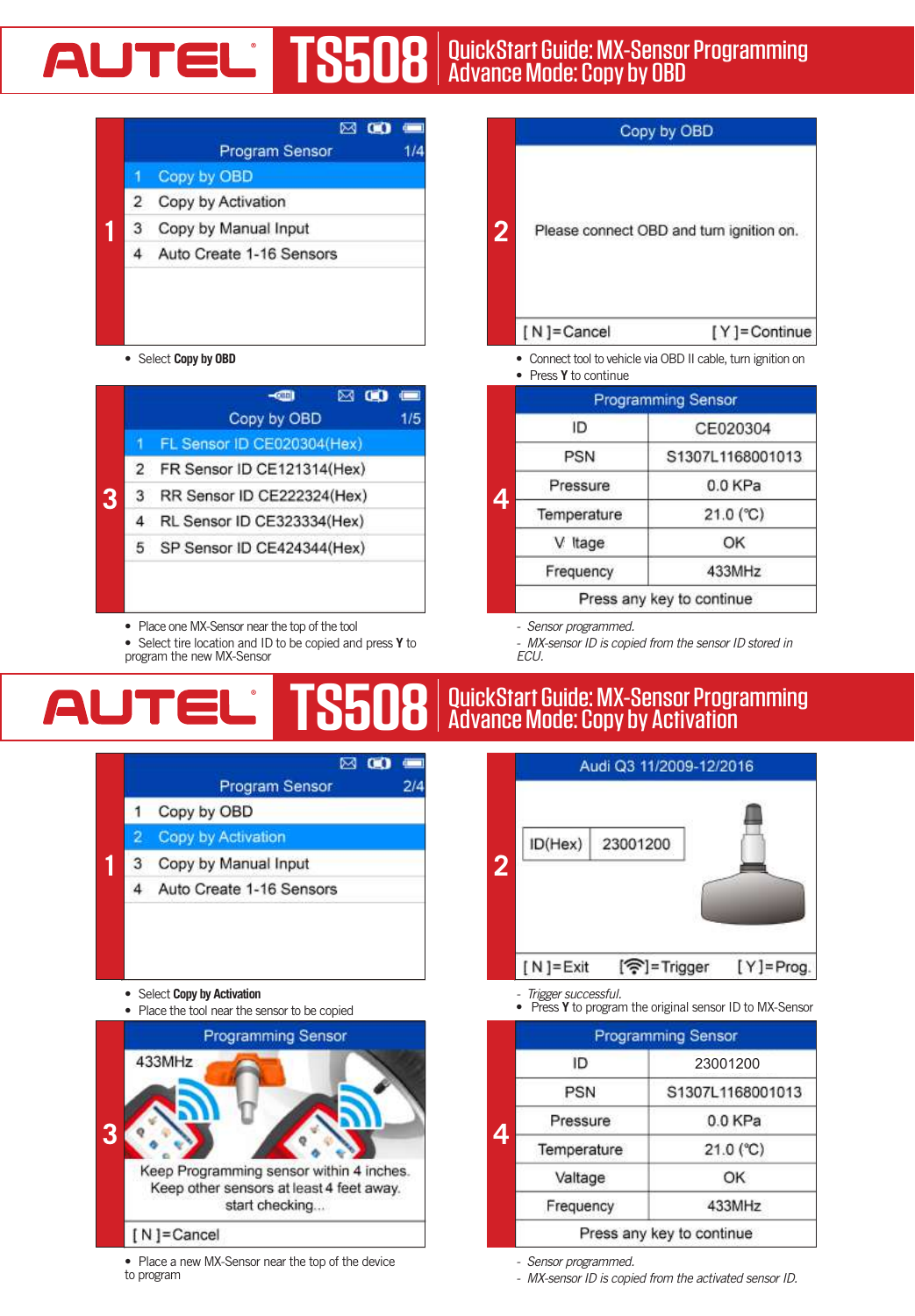# AUTOMOTIVE INTELLIGENCE QuickStart Guide: MX-Sensor Programming **TS508** | QuickStart Guide: MX-Senso<br>Advance Mode: Copy by OBD



• Select **Copy by OBD**

|   |                | $ \overline{m}$              | ⋈ | $\sqrt{2}$<br>1/5 |
|---|----------------|------------------------------|---|-------------------|
|   |                | Copy by OBD                  |   |                   |
|   |                | FL Sensor ID CE020304(Hex)   |   |                   |
| 3 | $\overline{2}$ | FR Sensor ID CE121314(Hex)   |   |                   |
|   | 3              | RR Sensor ID CE222324(Hex)   |   |                   |
|   |                | RL Sensor ID CE323334(Hex)   |   |                   |
|   |                | 5 SP Sensor ID CE424344(Hex) |   |                   |
|   |                |                              |   |                   |
|   |                |                              |   |                   |

- Place one MX-Sensor near the top of the tool
- • Select tire location and ID to be copied and press **Y** to program the new MX-Sensor

|                |            | Copy by OBD                              |
|----------------|------------|------------------------------------------|
| $\overline{2}$ |            | Please connect OBD and turn ignition on. |
|                | [N]=Cancel | [Y]=Continue                             |

• Connect tool to vehicle via OBD II cable, turn ignition on

• Press **Y** to continue

|   | <b>Programming Sensor</b> |                           |  |
|---|---------------------------|---------------------------|--|
|   | ID                        | CE020304                  |  |
|   | PSN                       | S1307L1168001013          |  |
| 4 | Pressure                  | 0.0KPa                    |  |
|   | Temperature               | $21.0$ (°C)               |  |
|   | V Itage                   | OK                        |  |
|   | Frequency                 | 433MHz                    |  |
|   |                           | Press any key to continue |  |

*- Sensor programmed.*

*- MX-sensor ID is copied from the sensor ID stored in ECU.*

### AUTORISCHE INTELLIGENCE QuickStart Guide: MX-Sensor Programming Advance Mode: Copy by Activation **TS508**





• Place a new MX-Sensor near the top of the device to program



- 
- *Trigger successful.* • Press **Y** to program the original sensor ID to MX-Sensor

|   | <b>Programming Sensor</b> |                           |  |
|---|---------------------------|---------------------------|--|
|   | ID                        | 23001200                  |  |
|   | <b>PSN</b>                | S1307L1168001013          |  |
| 4 | Pressure                  | 0.0 KPa                   |  |
|   | Temperature               | $21.0 (^{\circ}C)$        |  |
|   | Valtage                   | OK                        |  |
|   | Frequency                 | 433MHz                    |  |
|   |                           | Press any key to continue |  |

*- Sensor programmed.*

*- MX-sensor ID is copied from the activated sensor ID.*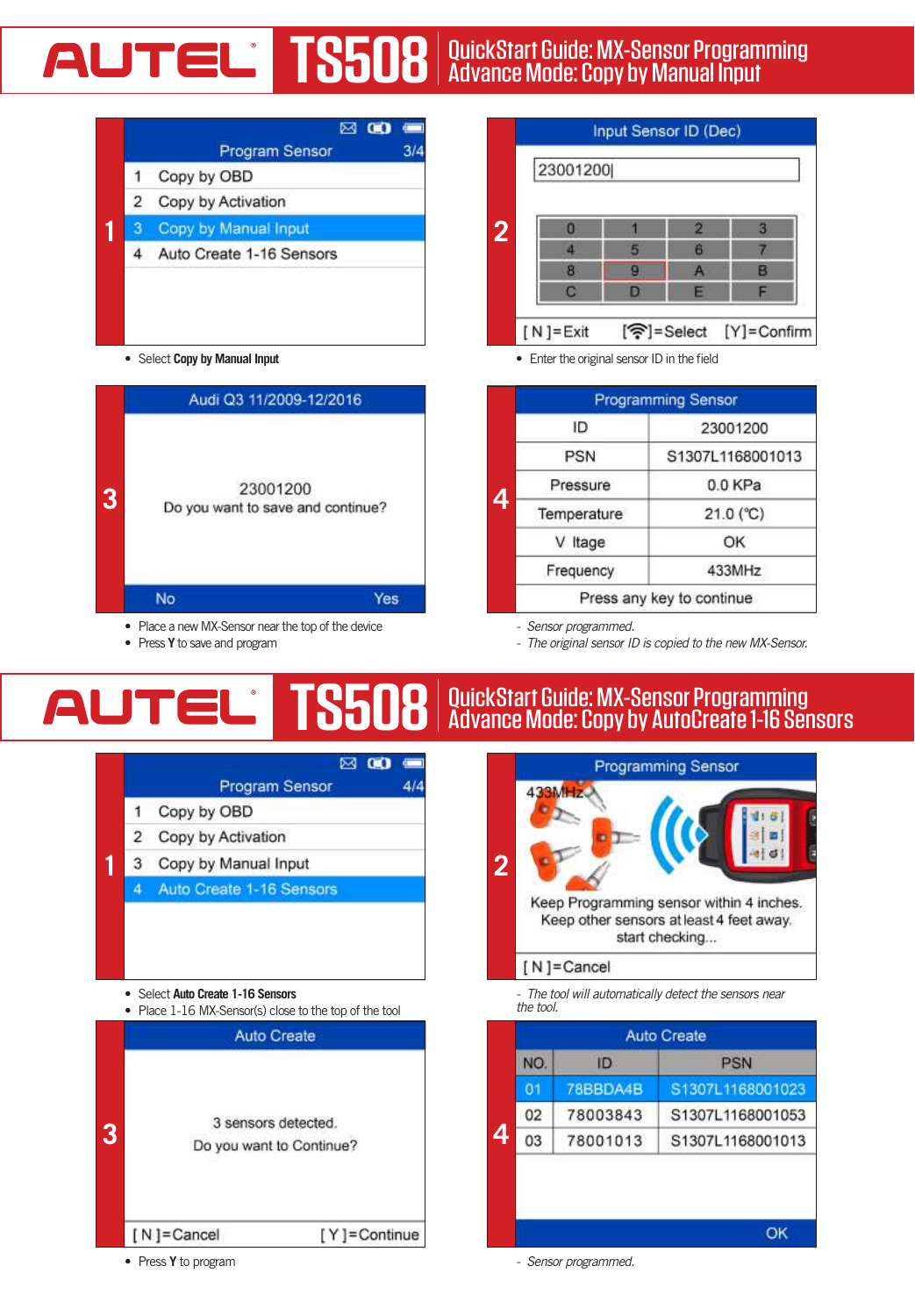# AUTOMOTIVE INTELLIGENCE QuickStart Guide: MX-Sensor Programming **TS508** | QuickStart Guide: MX-Sensor Program<br>Advance Mode: Copy by Manual Input



• Select **Copy by Manual Input**



- Place a new MX-Sensor near the top of the device
- • Press **Y** to save and program

Input Sensor ID (Dec) 23001200 **2** z 6 7 Ä ö A p n  $[N]$ = Exit [중]=Select  $[Y]$  = Confirm

• Enter the original sensor ID in the field

|  | <b>Programming Sensor</b> |                  |  |
|--|---------------------------|------------------|--|
|  | ID                        | 23001200         |  |
|  | <b>PSN</b>                | S1307L1168001013 |  |
|  | Pressure                  | 0.0 KPa          |  |
|  | Temperature               | $21.0$ (°C)      |  |
|  | V Itage                   | OK               |  |
|  | Frequency                 | 433MHz           |  |
|  | Press any key to continue |                  |  |

*- Sensor programmed.*

*- The original sensor ID is copied to the new MX-Sensor.*

#### **TS508** QuickStart Guide: MX-Sensor Programming AUT Advance Mode: Copy by AutoCreate 1-16 Sensors AUTORISCHE INTELLIGENCE



**Programming Sensor** Keep Programming sensor within 4 inches. Keep other sensors at least 4 feet away. start checking... [N]=Cancel

*- The tool will automatically detect the sensors near the tool.*

|   | <b>Auto Create</b> |                 |                  |
|---|--------------------|-----------------|------------------|
| 4 | NO.                | ID              | <b>PSN</b>       |
|   | 01                 | <b>78BBDA4B</b> | S1307L1168001023 |
|   | 02                 | 78003843        | S1307L1168001053 |
|   | 03                 | 78001013        | S1307L1168001013 |
|   |                    |                 |                  |
|   |                    |                 |                  |
|   |                    |                 | ОК               |

• Press **Y** to program

*- Sensor programmed.*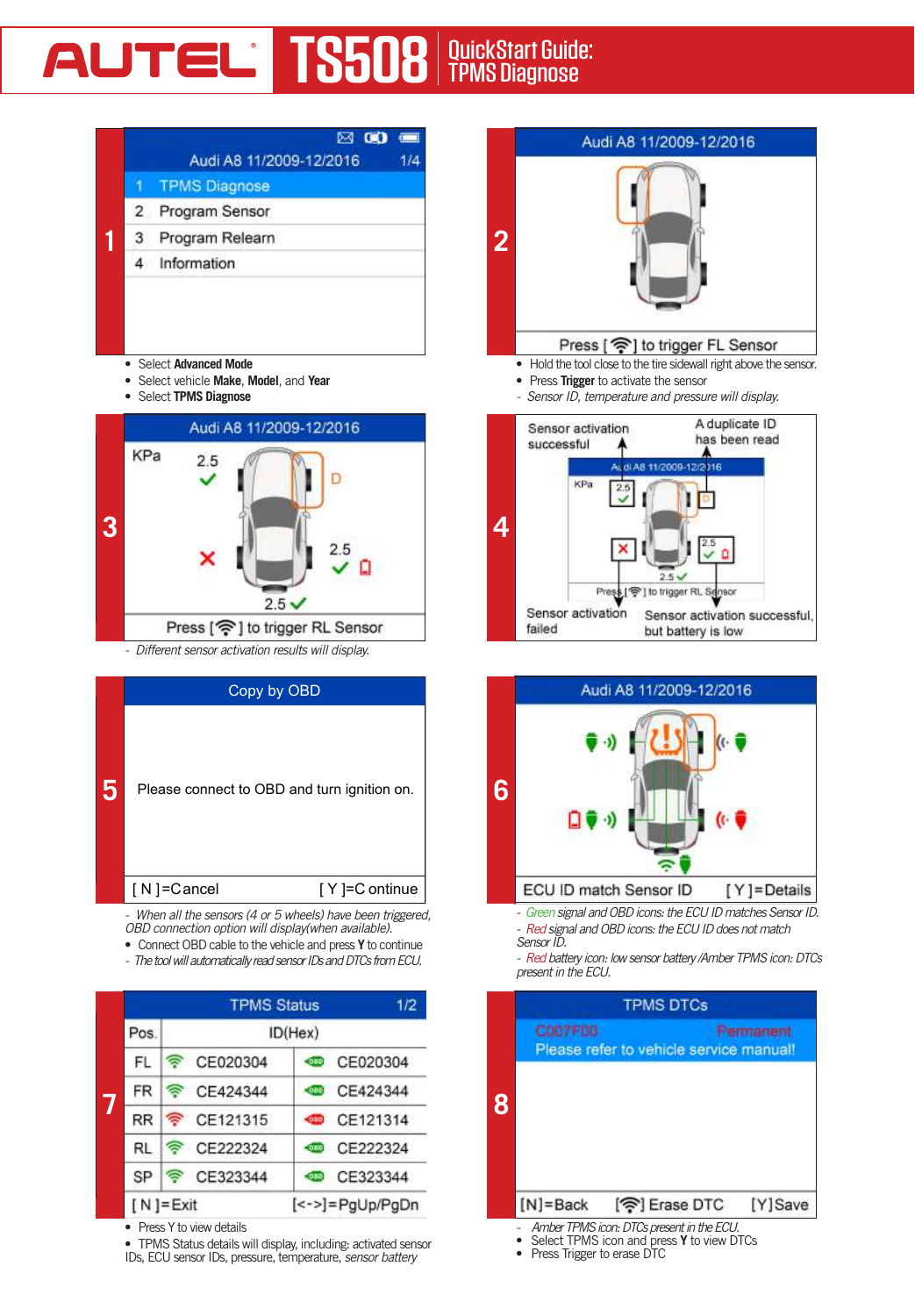# **AUTEL<sup>'</sup> TS508** QuickStart Guide:



- • Select **Advanced Mode**
- • Select vehicle **Make**, **Model**, and **Year**
- • Select **TPMS Diagnose**



*- Different sensor activation results will display.*

|   | Copy by OBD                                 |
|---|---------------------------------------------|
| 5 | Please connect to OBD and turn ignition on. |
|   | [N]=Cancel<br>[Y]=C ontinue                 |
|   | _                                           |

*- When all the sensors (4 or 5 wheels) have been triggered, OBD connection option will display(when available).*

• ConnectOBDcable to the vehicle and press **Y** to continue

*- The tool will automatically read sensor IDs and DTCs from ECU.*



<sup>•</sup> Press Y to view details

• TPMS Status details will display, including: activated sensor IDs, ECU sensor IDs, pressure, temperature, *sensor battery* 



- Hold the tool close to the tire sidewall right above the sensor.
- • Press **Trigger** to activate the sensor
- *Sensor ID, temperature and pressure will display.*





*- Green signal and OBD icons: the ECU ID matches Sensor ID. - Red signal and OBD icons: the ECU ID does not match Sensor ID.*

*- Red battery icon: low sensor battery /Amber TPMS icon: DTCs present in the ECU.*



- Select TPMS icon and press Y to view DTCs
- Press Trigger to erase DTC
-